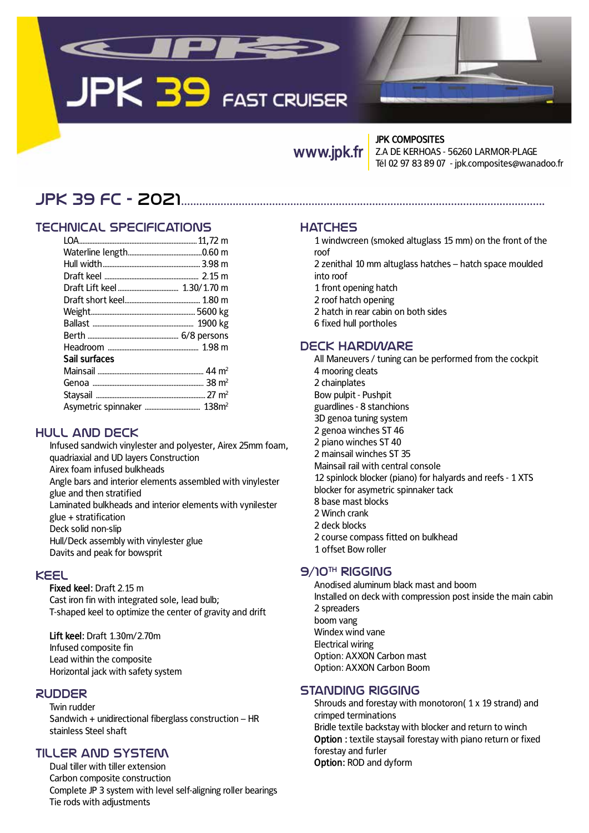

# **JPK 39 FAST CRUISER**

# **www.jpk.fr**

#### **JPK COMPOSITES**

Z.A DE KERHOAS - 56260 LARMOR-PLAGE Tél 02 97 83 89 07 - jpk.composites@wanadoo.fr

# JpK 39 FC - 2021........................................................................................................................

# Technical specifications

| Sail surfaces |  |
|---------------|--|
|               |  |
|               |  |
|               |  |
|               |  |

# Hull and deck

Infused sandwich vinylester and polyester, Airex 25mm foam, quadriaxial and UD layers Construction Airex foam infused bulkheads Angle bars and interior elements assembled with vinylester glue and then stratified Laminated bulkheads and interior elements with vynilester glue + stratification Deck solid non-slip Hull/Deck assembly with vinylester glue Davits and peak for bowsprit

#### Keel

**Fixed keel:** Draft 2.15 m Cast iron fin with integrated sole, lead bulb; T-shaped keel to optimize the center of gravity and drift

**Lift keel:** Draft 1.30m/2.70m Infused composite fin Lead within the composite Horizontal jack with safety system

#### **RUDDER**

Twin rudder Sandwich + unidirectional fiberglass construction – HR stainless Steel shaft

#### Tiller and system

Dual tiller with tiller extension Carbon composite construction Complete JP 3 system with level self-aligning roller bearings Tie rods with adjustments

#### **HATCHES**

- 1 windwcreen (smoked altuglass 15 mm) on the front of the roof
- 2 zenithal 10 mm altuglass hatches hatch space moulded into roof
- 1 front opening hatch
- 2 roof hatch opening
- 2 hatch in rear cabin on both sides
- 6 fixed hull portholes

#### Deck hardware

All Maneuvers / tuning can be performed from the cockpit 4 mooring cleats 2 chainplates Bow pulpit - Pushpit guardlines - 8 stanchions 3D genoa tuning system 2 genoa winches ST 46 2 piano winches ST 40 2 mainsail winches ST 35 Mainsail rail with central console 12 spinlock blocker (piano) for halyards and reefs - 1 XTS blocker for asymetric spinnaker tack 8 base mast blocks 2 Winch crank 2 deck blocks 2 course compass fitted on bulkhead 1 offset Bow roller

# $9/10<sup>TH</sup>$  RIGGING

Anodised aluminum black mast and boom Installed on deck with compression post inside the main cabin 2 spreaders boom vang Windex wind vane Electrical wiring Option: AXXON Carbon mast Option: AXXON Carbon Boom

#### Standing rigging

Shrouds and forestay with monotoron( 1 x 19 strand) and crimped terminations Bridle textile backstay with blocker and return to winch **Option :** textile staysail forestay with piano return or fixed forestay and furler **Option:** ROD and dyform